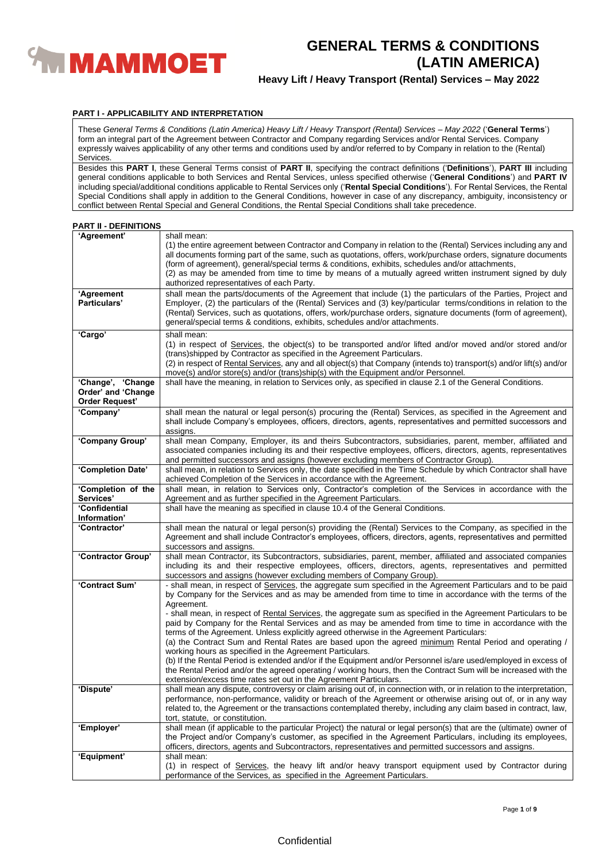

**Heavy Lift / Heavy Transport (Rental) Services – May 2022**

# **PART I - APPLICABILITY AND INTERPRETATION**

These *General Terms & Conditions (Latin America) Heavy Lift / Heavy Transport (Rental) Services – May 2022* ('**General Terms**') form an integral part of the Agreement between Contractor and Company regarding Services and/or Rental Services. Company expressly waives applicability of any other terms and conditions used by and/or referred to by Company in relation to the (Rental) Services.

Besides this **PART I**, these General Terms consist of **PART II**, specifying the contract definitions ('**Definitions**'), **PART III** including general conditions applicable to both Services and Rental Services, unless specified otherwise ('**General Conditions**') and **PART IV** including special/additional conditions applicable to Rental Services only ('**Rental Special Conditions**'). For Rental Services, the Rental Special Conditions shall apply in addition to the General Conditions, however in case of any discrepancy, ambiguity, inconsistency or conflict between Rental Special and General Conditions, the Rental Special Conditions shall take precedence.

# **PART II - DEFINITIONS**

| 'Agreement'                                                      | shall mean:<br>(1) the entire agreement between Contractor and Company in relation to the (Rental) Services including any and<br>all documents forming part of the same, such as quotations, offers, work/purchase orders, signature documents<br>(form of agreement), general/special terms & conditions, exhibits, schedules and/or attachments,<br>(2) as may be amended from time to time by means of a mutually agreed written instrument signed by duly<br>authorized representatives of each Party. |
|------------------------------------------------------------------|------------------------------------------------------------------------------------------------------------------------------------------------------------------------------------------------------------------------------------------------------------------------------------------------------------------------------------------------------------------------------------------------------------------------------------------------------------------------------------------------------------|
| 'Agreement<br>Particulars'                                       | shall mean the parts/documents of the Agreement that include (1) the particulars of the Parties, Project and<br>Employer, (2) the particulars of the (Rental) Services and (3) key/particular terms/conditions in relation to the<br>(Rental) Services, such as quotations, offers, work/purchase orders, signature documents (form of agreement),<br>general/special terms & conditions, exhibits, schedules and/or attachments.                                                                          |
| 'Cargo'                                                          | shall mean:<br>(1) in respect of Services, the object(s) to be transported and/or lifted and/or moved and/or stored and/or<br>(trans) shipped by Contractor as specified in the Agreement Particulars.<br>(2) in respect of Rental Services, any and all object(s) that Company (intends to) transport(s) and/or lift(s) and/or<br>move(s) and/or store(s) and/or (trans)ship(s) with the Equipment and/or Personnel.                                                                                      |
| 'Change', 'Change<br>Order' and 'Change<br><b>Order Request'</b> | shall have the meaning, in relation to Services only, as specified in clause 2.1 of the General Conditions.                                                                                                                                                                                                                                                                                                                                                                                                |
| 'Company'                                                        | shall mean the natural or legal person(s) procuring the (Rental) Services, as specified in the Agreement and<br>shall include Company's employees, officers, directors, agents, representatives and permitted successors and<br>assigns.                                                                                                                                                                                                                                                                   |
| 'Company Group'                                                  | shall mean Company, Employer, its and theirs Subcontractors, subsidiaries, parent, member, affiliated and<br>associated companies including its and their respective employees, officers, directors, agents, representatives<br>and permitted successors and assigns (however excluding members of Contractor Group).                                                                                                                                                                                      |
| 'Completion Date'                                                | shall mean, in relation to Services only, the date specified in the Time Schedule by which Contractor shall have<br>achieved Completion of the Services in accordance with the Agreement.                                                                                                                                                                                                                                                                                                                  |
| 'Completion of the                                               | shall mean, in relation to Services only, Contractor's completion of the Services in accordance with the                                                                                                                                                                                                                                                                                                                                                                                                   |
| Services'<br>'Confidential                                       | Agreement and as further specified in the Agreement Particulars.<br>shall have the meaning as specified in clause 10.4 of the General Conditions.                                                                                                                                                                                                                                                                                                                                                          |
| Information'                                                     |                                                                                                                                                                                                                                                                                                                                                                                                                                                                                                            |
| 'Contractor'                                                     | shall mean the natural or legal person(s) providing the (Rental) Services to the Company, as specified in the<br>Agreement and shall include Contractor's employees, officers, directors, agents, representatives and permitted<br>successors and assigns.                                                                                                                                                                                                                                                 |
| 'Contractor Group'                                               | shall mean Contractor, its Subcontractors, subsidiaries, parent, member, affiliated and associated companies<br>including its and their respective employees, officers, directors, agents, representatives and permitted<br>successors and assigns (however excluding members of Company Group).                                                                                                                                                                                                           |
| 'Contract Sum'                                                   | - shall mean, in respect of Services, the aggregate sum specified in the Agreement Particulars and to be paid<br>by Company for the Services and as may be amended from time to time in accordance with the terms of the<br>Agreement.                                                                                                                                                                                                                                                                     |
|                                                                  | - shall mean, in respect of Rental Services, the aggregate sum as specified in the Agreement Particulars to be<br>paid by Company for the Rental Services and as may be amended from time to time in accordance with the<br>terms of the Agreement. Unless explicitly agreed otherwise in the Agreement Particulars:<br>(a) the Contract Sum and Rental Rates are based upon the agreed minimum Rental Period and operating /<br>working hours as specified in the Agreement Particulars.                  |
|                                                                  | (b) If the Rental Period is extended and/or if the Equipment and/or Personnel is/are used/employed in excess of<br>the Rental Period and/or the agreed operating / working hours, then the Contract Sum will be increased with the<br>extension/excess time rates set out in the Agreement Particulars.                                                                                                                                                                                                    |
| 'Dispute'                                                        | shall mean any dispute, controversy or claim arising out of, in connection with, or in relation to the interpretation,<br>performance, non-performance, validity or breach of the Agreement or otherwise arising out of, or in any way<br>related to, the Agreement or the transactions contemplated thereby, including any claim based in contract, law,<br>tort, statute, or constitution.                                                                                                               |
| 'Employer'                                                       | shall mean (if applicable to the particular Project) the natural or legal person(s) that are the (ultimate) owner of<br>the Project and/or Company's customer, as specified in the Agreement Particulars, including its employees,<br>officers, directors, agents and Subcontractors, representatives and permitted successors and assigns.                                                                                                                                                                |
| 'Equipment'                                                      | shall mean:                                                                                                                                                                                                                                                                                                                                                                                                                                                                                                |
|                                                                  | (1) in respect of Services, the heavy lift and/or heavy transport equipment used by Contractor during<br>performance of the Services, as specified in the Agreement Particulars.                                                                                                                                                                                                                                                                                                                           |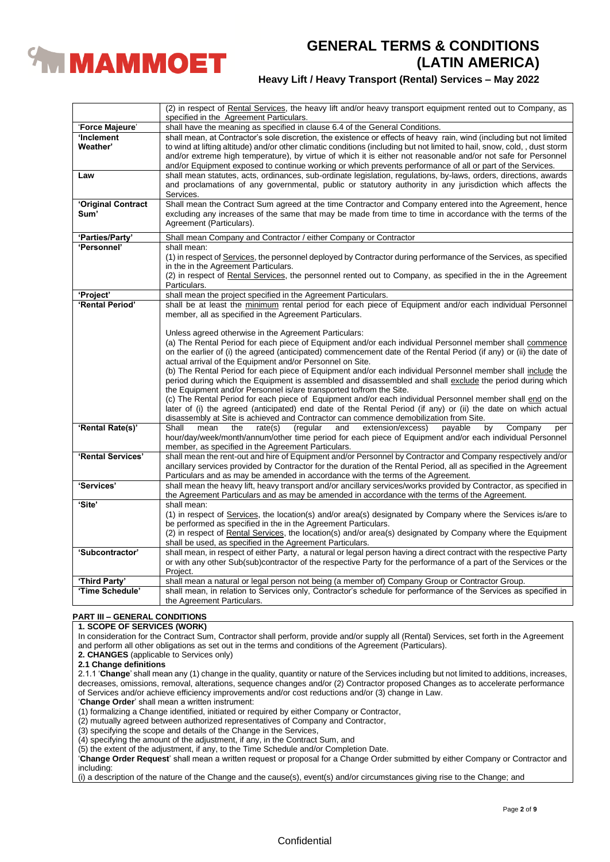

# **Heavy Lift / Heavy Transport (Rental) Services – May 2022**

|                    | (2) in respect of Rental Services, the heavy lift and/or heavy transport equipment rented out to Company, as<br>specified in the Agreement Particulars.                                                                                      |
|--------------------|----------------------------------------------------------------------------------------------------------------------------------------------------------------------------------------------------------------------------------------------|
| 'Force Majeure'    | shall have the meaning as specified in clause 6.4 of the General Conditions.                                                                                                                                                                 |
| 'Inclement         | shall mean, at Contractor's sole discretion, the existence or effects of heavy rain, wind (including but not limited                                                                                                                         |
| Weather'           | to wind at lifting altitude) and/or other climatic conditions (including but not limited to hail, snow, cold, , dust storm<br>and/or extreme high temperature), by virtue of which it is either not reasonable and/or not safe for Personnel |
|                    | and/or Equipment exposed to continue working or which prevents performance of all or part of the Services.                                                                                                                                   |
| Law                | shall mean statutes, acts, ordinances, sub-ordinate legislation, regulations, by-laws, orders, directions, awards<br>and proclamations of any governmental, public or statutory authority in any jurisdiction which affects the<br>Services. |
| 'Original Contract | Shall mean the Contract Sum agreed at the time Contractor and Company entered into the Agreement, hence                                                                                                                                      |
| Sum'               | excluding any increases of the same that may be made from time to time in accordance with the terms of the                                                                                                                                   |
|                    | Agreement (Particulars).                                                                                                                                                                                                                     |
| 'Parties/Party'    | Shall mean Company and Contractor / either Company or Contractor                                                                                                                                                                             |
| 'Personnel'        | shall mean:                                                                                                                                                                                                                                  |
|                    | (1) in respect of Services, the personnel deployed by Contractor during performance of the Services, as specified                                                                                                                            |
|                    | in the in the Agreement Particulars.                                                                                                                                                                                                         |
|                    | (2) in respect of Rental Services, the personnel rented out to Company, as specified in the in the Agreement                                                                                                                                 |
|                    | Particulars.                                                                                                                                                                                                                                 |
| 'Project'          | shall mean the project specified in the Agreement Particulars.                                                                                                                                                                               |
| 'Rental Period'    | shall be at least the minimum rental period for each piece of Equipment and/or each individual Personnel                                                                                                                                     |
|                    | member, all as specified in the Agreement Particulars.                                                                                                                                                                                       |
|                    |                                                                                                                                                                                                                                              |
|                    | Unless agreed otherwise in the Agreement Particulars:                                                                                                                                                                                        |
|                    | (a) The Rental Period for each piece of Equipment and/or each individual Personnel member shall commence                                                                                                                                     |
|                    | on the earlier of (i) the agreed (anticipated) commencement date of the Rental Period (if any) or (ii) the date of                                                                                                                           |
|                    | actual arrival of the Equipment and/or Personnel on Site.                                                                                                                                                                                    |
|                    | (b) The Rental Period for each piece of Equipment and/or each individual Personnel member shall include the                                                                                                                                  |
|                    | period during which the Equipment is assembled and disassembled and shall exclude the period during which                                                                                                                                    |
|                    | the Equipment and/or Personnel is/are transported to/from the Site.                                                                                                                                                                          |
|                    | (c) The Rental Period for each piece of Equipment and/or each individual Personnel member shall end on the                                                                                                                                   |
|                    | later of (i) the agreed (anticipated) end date of the Rental Period (if any) or (ii) the date on which actual                                                                                                                                |
|                    |                                                                                                                                                                                                                                              |
| 'Rental Rate(s)'   | disassembly at Site is achieved and Contractor can commence demobilization from Site.<br>Shall<br>mean<br>the                                                                                                                                |
|                    | by<br>Company<br>rate(s)<br>(regular<br>extension/excess)<br>payable<br>and<br>per                                                                                                                                                           |
|                    | hour/day/week/month/annum/other time period for each piece of Equipment and/or each individual Personnel                                                                                                                                     |
|                    | member, as specified in the Agreement Particulars.                                                                                                                                                                                           |
| 'Rental Services'  | shall mean the rent-out and hire of Equipment and/or Personnel by Contractor and Company respectively and/or                                                                                                                                 |
|                    | ancillary services provided by Contractor for the duration of the Rental Period, all as specified in the Agreement                                                                                                                           |
|                    | Particulars and as may be amended in accordance with the terms of the Agreement.                                                                                                                                                             |
| 'Services'         | shall mean the heavy lift, heavy transport and/or ancillary services/works provided by Contractor, as specified in                                                                                                                           |
|                    | the Agreement Particulars and as may be amended in accordance with the terms of the Agreement.                                                                                                                                               |
| 'Site'             | shall mean:                                                                                                                                                                                                                                  |
|                    | (1) in respect of Services, the location(s) and/or area(s) designated by Company where the Services is/are to                                                                                                                                |
|                    | be performed as specified in the in the Agreement Particulars.                                                                                                                                                                               |
|                    | (2) in respect of Rental Services, the location(s) and/or area(s) designated by Company where the Equipment                                                                                                                                  |
|                    | shall be used, as specified in the Agreement Particulars.                                                                                                                                                                                    |
| 'Subcontractor'    | shall mean, in respect of either Party, a natural or legal person having a direct contract with the respective Party                                                                                                                         |
|                    | or with any other Sub(sub)contractor of the respective Party for the performance of a part of the Services or the                                                                                                                            |
|                    | Project.                                                                                                                                                                                                                                     |
| 'Third Party'      | shall mean a natural or legal person not being (a member of) Company Group or Contractor Group.                                                                                                                                              |
| 'Time Schedule'    | shall mean, in relation to Services only, Contractor's schedule for performance of the Services as specified in                                                                                                                              |
|                    | the Agreement Particulars.                                                                                                                                                                                                                   |

# **PART III – GENERAL CONDITIONS**

# **1. SCOPE OF SERVICES (WORK)**

In consideration for the Contract Sum, Contractor shall perform, provide and/or supply all (Rental) Services, set forth in the Agreement and perform all other obligations as set out in the terms and conditions of the Agreement (Particulars).

**2. CHANGES** (applicable to Services only)

**2.1 Change definitions**

2.1.1 '**Change**' shall mean any (1) change in the quality, quantity or nature of the Services including but not limited to additions, increases, decreases, omissions, removal, alterations, sequence changes and/or (2) Contractor proposed Changes as to accelerate performance of Services and/or achieve efficiency improvements and/or cost reductions and/or (3) change in Law.

'**Change Order**' shall mean a written instrument:

(1) formalizing a Change identified, initiated or required by either Company or Contractor,

(2) mutually agreed between authorized representatives of Company and Contractor,

(3) specifying the scope and details of the Change in the Services,

(4) specifying the amount of the adjustment, if any, in the Contract Sum, and

(5) the extent of the adjustment, if any, to the Time Schedule and/or Completion Date.

'**Change Order Request**' shall mean a written request or proposal for a Change Order submitted by either Company or Contractor and including:

(i) a description of the nature of the Change and the cause(s), event(s) and/or circumstances giving rise to the Change; and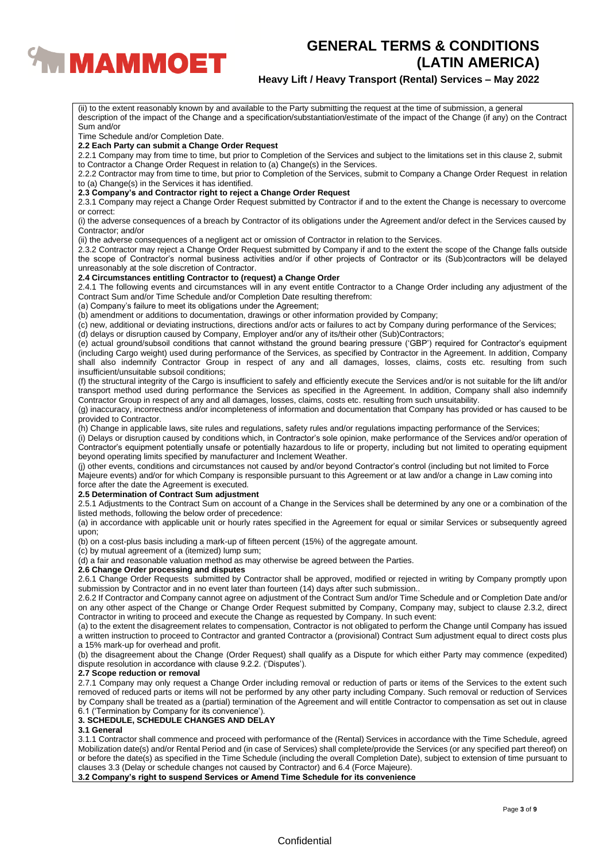

# **Heavy Lift / Heavy Transport (Rental) Services – May 2022**

Sum and/or Time Schedule and/or Completion Date. **2.2 Each Party can submit a Change Order Request** 2.2.1 Company may from time to time, but prior to Completion of the Services and subject to the limitations set in this clause 2, submit to Contractor a Change Order Request in relation to (a) Change(s) in the Services. 2.2.2 Contractor may from time to time, but prior to Completion of the Services, submit to Company a Change Order Request in relation to (a) Change(s) in the Services it has identified. **2.3 Company's and Contractor right to reject a Change Order Request** 2.3.1 Company may reject a Change Order Request submitted by Contractor if and to the extent the Change is necessary to overcome or correct: (i) the adverse consequences of a breach by Contractor of its obligations under the Agreement and/or defect in the Services caused by Contractor; and/or (ii) the adverse consequences of a negligent act or omission of Contractor in relation to the Services. 2.3.2 Contractor may reject a Change Order Request submitted by Company if and to the extent the scope of the Change falls outside the scope of Contractor's normal business activities and/or if other projects of Contractor or its (Sub)contractors will be delayed unreasonably at the sole discretion of Contractor. **2.4 Circumstances entitling Contractor to (request) a Change Order** 2.4.1 The following events and circumstances will in any event entitle Contractor to a Change Order including any adjustment of the Contract Sum and/or Time Schedule and/or Completion Date resulting therefrom: (a) Company's failure to meet its obligations under the Agreement; (b) amendment or additions to documentation, drawings or other information provided by Company; (c) new, additional or deviating instructions, directions and/or acts or failures to act by Company during performance of the Services; (d) delays or disruption caused by Company, Employer and/or any of its/their other (Sub)Contractors; (e) actual ground/subsoil conditions that cannot withstand the ground bearing pressure ('GBP') required for Contractor's equipment (including Cargo weight) used during performance of the Services, as specified by Contractor in the Agreement. In addition, Company shall also indemnify Contractor Group in respect of any and all damages, losses, claims, costs etc. resulting from such insufficient/unsuitable subsoil conditions; (f) the structural integrity of the Cargo is insufficient to safely and efficiently execute the Services and/or is not suitable for the lift and/or transport method used during performance the Services as specified in the Agreement. In addition, Company shall also indemnify Contractor Group in respect of any and all damages, losses, claims, costs etc. resulting from such unsuitability. (g) inaccuracy, incorrectness and/or incompleteness of information and documentation that Company has provided or has caused to be provided to Contractor. (h) Change in applicable laws, site rules and regulations, safety rules and/or regulations impacting performance of the Services; (i) Delays or disruption caused by conditions which, in Contractor's sole opinion, make performance of the Services and/or operation of Contractor's equipment potentially unsafe or potentially hazardous to life or property, including but not limited to operating equipment beyond operating limits specified by manufacturer and Inclement Weather. (j) other events, conditions and circumstances not caused by and/or beyond Contractor's control (including but not limited to Force Majeure events) and/or for which Company is responsible pursuant to this Agreement or at law and/or a change in Law coming into

(ii) to the extent reasonably known by and available to the Party submitting the request at the time of submission, a general

description of the impact of the Change and a specification/substantiation/estimate of the impact of the Change (if any) on the Contract

#### force after the date the Agreement is executed. **2.5 Determination of Contract Sum adjustment**

2.5.1 Adjustments to the Contract Sum on account of a Change in the Services shall be determined by any one or a combination of the listed methods, following the below order of precedence:

(a) in accordance with applicable unit or hourly rates specified in the Agreement for equal or similar Services or subsequently agreed upon;

(b) on a cost-plus basis including a mark-up of fifteen percent (15%) of the aggregate amount.

# (c) by mutual agreement of a (itemized) lump sum;

(d) a fair and reasonable valuation method as may otherwise be agreed between the Parties.

# **2.6 Change Order processing and disputes**

2.6.1 Change Order Requests submitted by Contractor shall be approved, modified or rejected in writing by Company promptly upon submission by Contractor and in no event later than fourteen (14) days after such submission..

2.6.2 If Contractor and Company cannot agree on adjustment of the Contract Sum and/or Time Schedule and or Completion Date and/or on any other aspect of the Change or Change Order Request submitted by Company, Company may, subject to clause 2.3.2, direct Contractor in writing to proceed and execute the Change as requested by Company. In such event:

(a) to the extent the disagreement relates to compensation, Contractor is not obligated to perform the Change until Company has issued a written instruction to proceed to Contractor and granted Contractor a (provisional) Contract Sum adjustment equal to direct costs plus a 15% mark-up for overhead and profit.

(b) the disagreement about the Change (Order Request) shall qualify as a Dispute for which either Party may commence (expedited) dispute resolution in accordance with clause 9.2.2. ('Disputes').

# **2.7 Scope reduction or removal**

2.7.1 Company may only request a Change Order including removal or reduction of parts or items of the Services to the extent such removed of reduced parts or items will not be performed by any other party including Company. Such removal or reduction of Services by Company shall be treated as a (partial) termination of the Agreement and will entitle Contractor to compensation as set out in clause 6.1 ('Termination by Company for its convenience').

# **3. SCHEDULE, SCHEDULE CHANGES AND DELAY**

# **3.1 General**

3.1.1 Contractor shall commence and proceed with performance of the (Rental) Services in accordance with the Time Schedule, agreed Mobilization date(s) and/or Rental Period and (in case of Services) shall complete/provide the Services (or any specified part thereof) on or before the date(s) as specified in the Time Schedule (including the overall Completion Date), subject to extension of time pursuant to clauses 3.3 (Delay or schedule changes not caused by Contractor) and 6.4 (Force Majeure).

**3.2 Company's right to suspend Services or Amend Time Schedule for its convenience**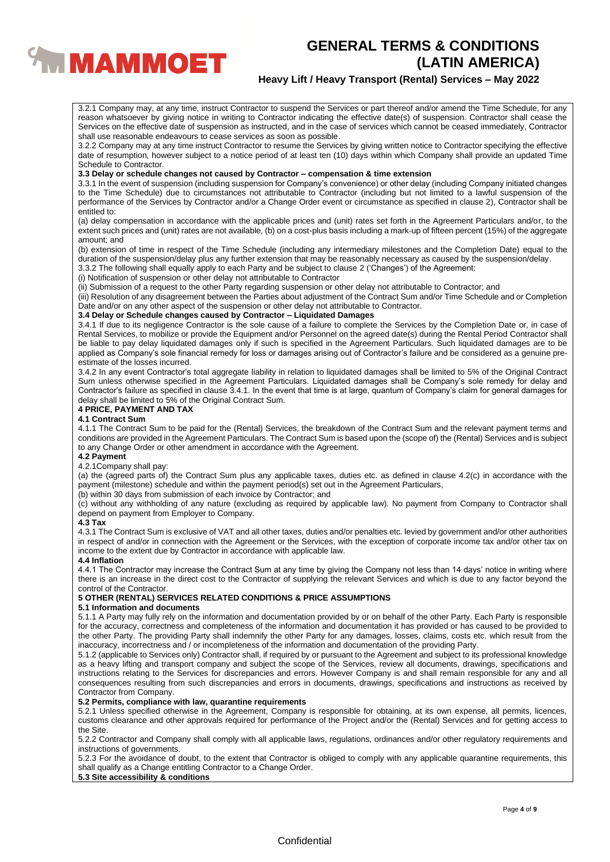

# **Heavy Lift / Heavy Transport (Rental) Services – May 2022**

3.2.1 Company may, at any time, instruct Contractor to suspend the Services or part thereof and/or amend the Time Schedule, for any reason whatsoever by giving notice in writing to Contractor indicating the effective date(s) of suspension. Contractor shall cease the Services on the effective date of suspension as instructed, and in the case of services which cannot be ceased immediately, Contractor shall use reasonable endeavours to cease services as soon as possible.

3.2.2 Company may at any time instruct Contractor to resume the Services by giving written notice to Contractor specifying the effective date of resumption, however subject to a notice period of at least ten (10) days within which Company shall provide an updated Time Schedule to Contractor.

## **3.3 Delay or schedule changes not caused by Contractor – compensation & time extension**

3.3.1 In the event of suspension (including suspension for Company's convenience) or other delay (including Company initiated changes to the Time Schedule) due to circumstances not attributable to Contractor (including but not limited to a lawful suspension of the performance of the Services by Contractor and/or a Change Order event or circumstance as specified in clause 2), Contractor shall be entitled to:

(a) delay compensation in accordance with the applicable prices and (unit) rates set forth in the Agreement Particulars and/or, to the extent such prices and (unit) rates are not available, (b) on a cost-plus basis including a mark-up of fifteen percent (15%) of the aggregate amount; and

(b) extension of time in respect of the Time Schedule (including any intermediary milestones and the Completion Date) equal to the duration of the suspension/delay plus any further extension that may be reasonably necessary as caused by the suspension/delay.

3.3.2 The following shall equally apply to each Party and be subject to clause 2 ('Changes') of the Agreement:

(i) Notification of suspension or other delay not attributable to Contractor

(ii) Submission of a request to the other Party regarding suspension or other delay not attributable to Contractor; and

(iii) Resolution of any disagreement between the Parties about adjustment of the Contract Sum and/or Time Schedule and or Completion Date and/or on any other aspect of the suspension or other delay not attributable to Contractor.

# **3.4 Delay or Schedule changes caused by Contractor – Liquidated Damages**

3.4.1 If due to its negligence Contractor is the sole cause of a failure to complete the Services by the Completion Date or, in case of Rental Services, to mobilize or provide the Equipment and/or Personnel on the agreed date(s) during the Rental Period Contractor shall be liable to pay delay liquidated damages only if such is specified in the Agreement Particulars. Such liquidated damages are to be applied as Company's sole financial remedy for loss or damages arising out of Contractor's failure and be considered as a genuine preestimate of the losses incurred.

3.4.2 In any event Contractor's total aggregate liability in relation to liquidated damages shall be limited to 5% of the Original Contract Sum unless otherwise specified in the Agreement Particulars. Liquidated damages shall be Company's sole remedy for delay and Contractor's failure as specified in clause 3.4.1. In the event that time is at large, quantum of Company's claim for general damages for delay shall be limited to 5% of the Original Contract Sum.

# **4 PRICE, PAYMENT AND TAX**

## **4.1 Contract Sum**

4.1.1 The Contract Sum to be paid for the (Rental) Services, the breakdown of the Contract Sum and the relevant payment terms and conditions are provided in the Agreement Particulars. The Contract Sum is based upon the (scope of) the (Rental) Services and is subject to any Change Order or other amendment in accordance with the Agreement.

## **4.2 Payment**

### 4.2.1Company shall pay:

(a) the (agreed parts of) the Contract Sum plus any applicable taxes, duties etc. as defined in clause 4.2(c) in accordance with the payment (milestone) schedule and within the payment period(s) set out in the Agreement Particulars,

(b) within 30 days from submission of each invoice by Contractor; and

(c) without any withholding of any nature (excluding as required by applicable law). No payment from Company to Contractor shall depend on payment from Employer to Company.

## **4.3 Tax**

4.3.1 The Contract Sum is exclusive of VAT and all other taxes, duties and/or penalties etc. levied by government and/or other authorities in respect of and/or in connection with the Agreement or the Services, with the exception of corporate income tax and/or other tax on income to the extent due by Contractor in accordance with applicable law.

# **4.4 Inflation**

4.4.1 The Contractor may increase the Contract Sum at any time by giving the Company not less than 14 days' notice in writing where there is an increase in the direct cost to the Contractor of supplying the relevant Services and which is due to any factor beyond the control of the Contractor.

# **5 OTHER (RENTAL) SERVICES RELATED CONDITIONS & PRICE ASSUMPTIONS**

## **5.1 Information and documents**

5.1.1 A Party may fully rely on the information and documentation provided by or on behalf of the other Party. Each Party is responsible for the accuracy, correctness and completeness of the information and documentation it has provided or has caused to be provided to the other Party. The providing Party shall indemnify the other Party for any damages, losses, claims, costs etc. which result from the inaccuracy, incorrectness and / or incompleteness of the information and documentation of the providing Party.

5.1.2 (applicable to Services only) Contractor shall, if required by or pursuant to the Agreement and subject to its professional knowledge as a heavy lifting and transport company and subject the scope of the Services, review all documents, drawings, specifications and instructions relating to the Services for discrepancies and errors. However Company is and shall remain responsible for any and all consequences resulting from such discrepancies and errors in documents, drawings, specifications and instructions as received by Contractor from Company.

# **5.2 Permits, compliance with law, quarantine requirements**

5.2.1 Unless specified otherwise in the Agreement, Company is responsible for obtaining, at its own expense, all permits, licences, customs clearance and other approvals required for performance of the Project and/or the (Rental) Services and for getting access to the Site.

5.2.2 Contractor and Company shall comply with all applicable laws, regulations, ordinances and/or other regulatory requirements and instructions of governments.

5.2.3 For the avoidance of doubt, to the extent that Contractor is obliged to comply with any applicable quarantine requirements, this shall qualify as a Change entitling Contractor to a Change Order.

# **5.3 Site accessibility & conditions**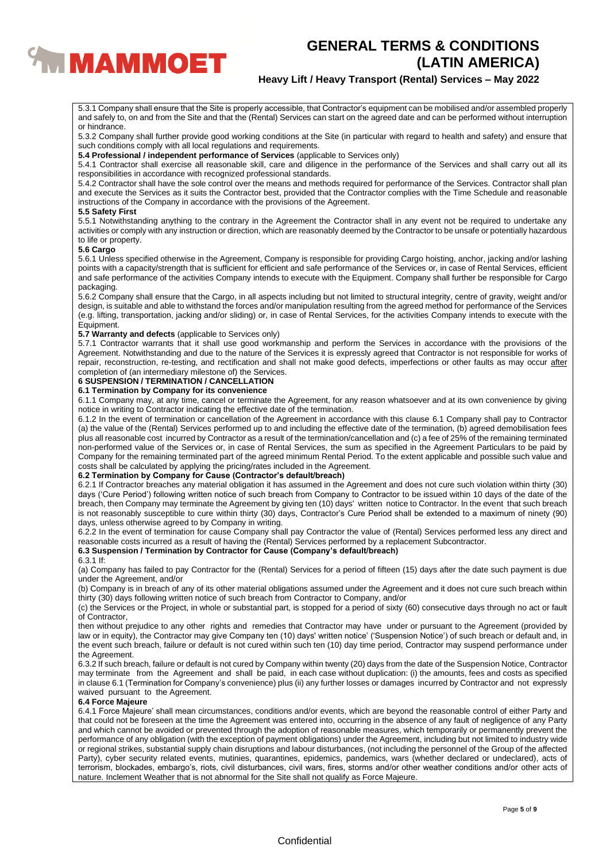

# **Heavy Lift / Heavy Transport (Rental) Services – May 2022**

5.3.1 Company shall ensure that the Site is properly accessible, that Contractor's equipment can be mobilised and/or assembled properly and safely to, on and from the Site and that the (Rental) Services can start on the agreed date and can be performed without interruption or hindrance.

5.3.2 Company shall further provide good working conditions at the Site (in particular with regard to health and safety) and ensure that such conditions comply with all local regulations and requirements.

**5.4 Professional / independent performance of Services** (applicable to Services only)

5.4.1 Contractor shall exercise all reasonable skill, care and diligence in the performance of the Services and shall carry out all its responsibilities in accordance with recognized professional standards.

5.4.2 Contractor shall have the sole control over the means and methods required for performance of the Services. Contractor shall plan and execute the Services as it suits the Contractor best, provided that the Contractor complies with the Time Schedule and reasonable instructions of the Company in accordance with the provisions of the Agreement.

#### **5.5 Safety First**

5.5.1 Notwithstanding anything to the contrary in the Agreement the Contractor shall in any event not be required to undertake any activities or comply with any instruction or direction, which are reasonably deemed by the Contractor to be unsafe or potentially hazardous to life or property.

#### **5.6 Cargo**

5.6.1 Unless specified otherwise in the Agreement, Company is responsible for providing Cargo hoisting, anchor, jacking and/or lashing points with a capacity/strength that is sufficient for efficient and safe performance of the Services or, in case of Rental Services, efficient and safe performance of the activities Company intends to execute with the Equipment. Company shall further be responsible for Cargo packaging.

5.6.2 Company shall ensure that the Cargo, in all aspects including but not limited to structural integrity, centre of gravity, weight and/or design, is suitable and able to withstand the forces and/or manipulation resulting from the agreed method for performance of the Services (e.g. lifting, transportation, jacking and/or sliding) or, in case of Rental Services, for the activities Company intends to execute with the Equipment.

## **5.7 Warranty and defects** (applicable to Services only)

5.7.1 Contractor warrants that it shall use good workmanship and perform the Services in accordance with the provisions of the Agreement. Notwithstanding and due to the nature of the Services it is expressly agreed that Contractor is not responsible for works of repair, reconstruction, re-testing, and rectification and shall not make good defects, imperfections or other faults as may occur after completion of (an intermediary milestone of) the Services.

# **6 SUSPENSION / TERMINATION / CANCELLATION**

# **6.1 Termination by Company for its convenience**

6.1.1 Company may, at any time, cancel or terminate the Agreement, for any reason whatsoever and at its own convenience by giving notice in writing to Contractor indicating the effective date of the termination.

6.1.2 In the event of termination or cancellation of the Agreement in accordance with this clause 6.1 Company shall pay to Contractor (a) the value of the (Rental) Services performed up to and including the effective date of the termination, (b) agreed demobilisation fees plus all reasonable cost incurred by Contractor as a result of the termination/cancellation and (c) a fee of 25% of the remaining terminated non-performed value of the Services or, in case of Rental Services, the sum as specified in the Agreement Particulars to be paid by Company for the remaining terminated part of the agreed minimum Rental Period. To the extent applicable and possible such value and costs shall be calculated by applying the pricing/rates included in the Agreement.

## **6.2 Termination by Company for Cause (Contractor's default/breach)**

6.2.1 If Contractor breaches any material obligation it has assumed in the Agreement and does not cure such violation within thirty (30) days ('Cure Period') following written notice of such breach from Company to Contractor to be issued within 10 days of the date of the breach, then Company may terminate the Agreement by giving ten (10) days' written notice to Contractor. ln the event that such breach is not reasonably susceptible to cure within thirty (30) days, Contractor's Cure Period shall be extended to a maximum of ninety (90) days, unless otherwise agreed to by Company in writing.

6.2.2 In the event of termination for cause Company shall pay Contractor the value of (Rental) Services performed less any direct and reasonable costs incurred as a result of having the (Rental) Services performed by a replacement Subcontractor.

# **6.3 Suspension / Termination by Contractor for Cause (Company's default/breach)**

#### 6.3.1 If:

(a) Company has failed to pay Contractor for the (Rental) Services for a period of fifteen (15) days after the date such payment is due under the Agreement, and/or

(b) Company is in breach of any of its other material obligations assumed under the Agreement and it does not cure such breach within thirty (30) days following written notice of such breach from Contractor to Company, and/or

(c) the Services or the Project, in whole or substantial part, is stopped for a period of sixty (60) consecutive days through no act or fault of Contractor,

then without prejudice to any other rights and remedies that Contractor may have under or pursuant to the Agreement (provided by law or in equity), the Contractor may give Company ten (10) days' written notice' ('Suspension Notice') of such breach or default and, in the event such breach, failure or default is not cured within such ten (10) day time period, Contractor may suspend performance under the Agreement.

6.3.2 If such breach, failure or default is not cured by Company within twenty (20) days from the date of the Suspension Notice, Contractor may terminate from the Agreement and shall be paid, in each case without duplication: (i) the amounts, fees and costs as specified in clause 6.1 (Termination for Company's convenience) plus (ii) any further losses or damages incurred by Contractor and not expressly waived pursuant to the Agreement.

# **6.4 Force Majeure**

6.4.1 Force Majeure' shall mean circumstances, conditions and/or events, which are beyond the reasonable control of either Party and that could not be foreseen at the time the Agreement was entered into, occurring in the absence of any fault of negligence of any Party and which cannot be avoided or prevented through the adoption of reasonable measures, which temporarily or permanently prevent the performance of any obligation (with the exception of payment obligations) under the Agreement, including but not limited to industry wide or regional strikes, substantial supply chain disruptions and labour disturbances, (not including the personnel of the Group of the affected Party), cyber security related events, mutinies, quarantines, epidemics, pandemics, wars (whether declared or undeclared), acts of terrorism, blockades, embargo's, riots, civil disturbances, civil wars, fires, storms and/or other weather conditions and/or other acts of nature. Inclement Weather that is not abnormal for the Site shall not qualify as Force Majeure.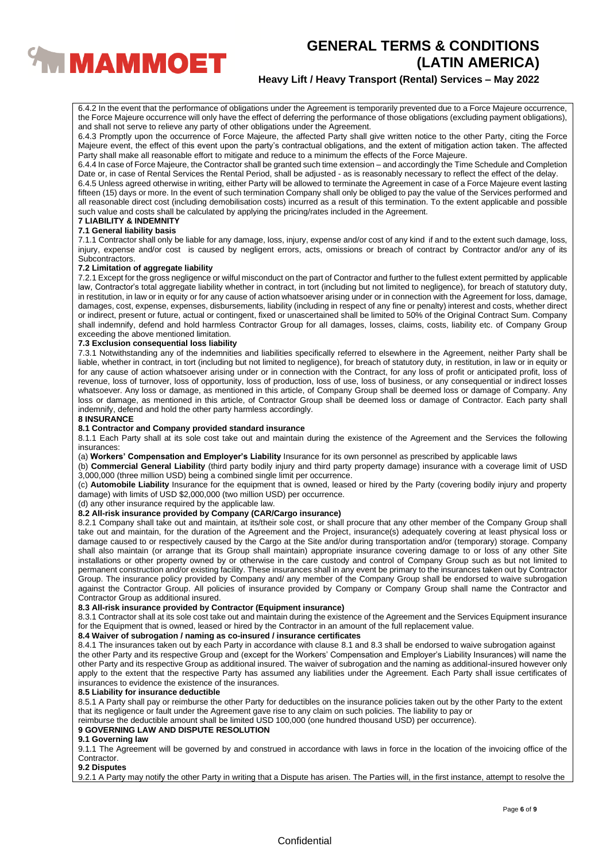

# **Heavy Lift / Heavy Transport (Rental) Services – May 2022**

6.4.2 In the event that the performance of obligations under the Agreement is temporarily prevented due to a Force Majeure occurrence, the Force Majeure occurrence will only have the effect of deferring the performance of those obligations (excluding payment obligations), and shall not serve to relieve any party of other obligations under the Agreement.

6.4.3 Promptly upon the occurrence of Force Majeure, the affected Party shall give written notice to the other Party, citing the Force Majeure event, the effect of this event upon the party's contractual obligations, and the extent of mitigation action taken. The affected Party shall make all reasonable effort to mitigate and reduce to a minimum the effects of the Force Majeure.

6.4.4 In case of Force Majeure, the Contractor shall be granted such time extension – and accordingly the Time Schedule and Completion Date or, in case of Rental Services the Rental Period, shall be adjusted - as is reasonably necessary to reflect the effect of the delay.

6.4.5 Unless agreed otherwise in writing, either Party will be allowed to terminate the Agreement in case of a Force Majeure event lasting fifteen (15) days or more. In the event of such termination Company shall only be obliged to pay the value of the Services performed and all reasonable direct cost (including demobilisation costs) incurred as a result of this termination. To the extent applicable and possible such value and costs shall be calculated by applying the pricing/rates included in the Agreement.

#### **7 LIABILITY & INDEMNITY 7.1 General liability basis**

7.1.1 Contractor shall only be liable for any damage, loss, injury, expense and/or cost of any kind if and to the extent such damage, loss, injury, expense and/or cost is caused by negligent errors, acts, omissions or breach of contract by Contractor and/or any of its Subcontractors.

## **7.2 Limitation of aggregate liability**

7.2.1 Except for the gross negligence or wilful misconduct on the part of Contractor and further to the fullest extent permitted by applicable law, Contractor's total aggregate liability whether in contract, in tort (including but not limited to negligence), for breach of statutory duty, in restitution, in law or in equity or for any cause of action whatsoever arising under or in connection with the Agreement for loss, damage, damages, cost, expense, expenses, disbursements, liability (including in respect of any fine or penalty) interest and costs, whether direct or indirect, present or future, actual or contingent, fixed or unascertained shall be limited to 50% of the Original Contract Sum. Company shall indemnify, defend and hold harmless Contractor Group for all damages, losses, claims, costs, liability etc. of Company Group exceeding the above mentioned limitation.

## **7.3 Exclusion consequential loss liability**

7.3.1 Notwithstanding any of the indemnities and liabilities specifically referred to elsewhere in the Agreement, neither Party shall be liable, whether in contract, in tort (including but not limited to negligence), for breach of statutory duty, in restitution, in law or in equity or for any cause of action whatsoever arising under or in connection with the Contract, for any loss of profit or anticipated profit, loss of revenue, loss of turnover, loss of opportunity, loss of production, loss of use, loss of business, or any consequential or indirect losses whatsoever. Any loss or damage, as mentioned in this article, of Company Group shall be deemed loss or damage of Company. Any loss or damage, as mentioned in this article, of Contractor Group shall be deemed loss or damage of Contractor. Each party shall indemnify, defend and hold the other party harmless accordingly.

# **8 INSURANCE**

#### **8.1 Contractor and Company provided standard insurance**

8.1.1 Each Party shall at its sole cost take out and maintain during the existence of the Agreement and the Services the following insurances:

(a) **Workers' Compensation and Employer's Liability** Insurance for its own personnel as prescribed by applicable laws

(b) **Commercial General Liability** (third party bodily injury and third party property damage) insurance with a coverage limit of USD 3,000,000 (three million USD) being a combined single limit per occurrence.

(c) **Automobile Liability** Insurance for the equipment that is owned, leased or hired by the Party (covering bodily injury and property damage) with limits of USD \$2,000,000 (two million USD) per occurrence.

(d) any other insurance required by the applicable law.

# **8.2 All-risk insurance provided by Company (CAR/Cargo insurance)**

8.2.1 Company shall take out and maintain, at its/their sole cost, or shall procure that any other member of the Company Group shall take out and maintain, for the duration of the Agreement and the Project, insurance(s) adequately covering at least physical loss or damage caused to or respectively caused by the Cargo at the Site and/or during transportation and/or (temporary) storage. Company shall also maintain (or arrange that its Group shall maintain) appropriate insurance covering damage to or loss of any other Site installations or other property owned by or otherwise in the care custody and control of Company Group such as but not limited to permanent construction and/or existing facility. These insurances shall in any event be primary to the insurances taken out by Contractor Group. The insurance policy provided by Company and/ any member of the Company Group shall be endorsed to waive subrogation against the Contractor Group. All policies of insurance provided by Company or Company Group shall name the Contractor and Contractor Group as additional insured.

# **8.3 All-risk insurance provided by Contractor (Equipment insurance)**

8.3.1 Contractor shall at its sole cost take out and maintain during the existence of the Agreement and the Services Equipment insurance for the Equipment that is owned, leased or hired by the Contractor in an amount of the full replacement value.

# **8.4 Waiver of subrogation / naming as co-insured / insurance certificates**

8.4.1 The insurances taken out by each Party in accordance with clause 8.1 and 8.3 shall be endorsed to waive subrogation against the other Party and its respective Group and (except for the Workers' Compensation and Employer's Liability Insurances) will name the other Party and its respective Group as additional insured. The waiver of subrogation and the naming as additional-insured however only apply to the extent that the respective Party has assumed any liabilities under the Agreement. Each Party shall issue certificates of insurances to evidence the existence of the insurances.

## **8.5 Liability for insurance deductible**

8.5.1 A Party shall pay or reimburse the other Party for deductibles on the insurance policies taken out by the other Party to the extent that its negligence or fault under the Agreement gave rise to any claim on such policies. The liability to pay or

reimburse the deductible amount shall be limited USD 100,000 (one hundred thousand USD) per occurrence).

## **9 GOVERNING LAW AND DISPUTE RESOLUTION**

## **9.1 Governing law**

9.1.1 The Agreement will be governed by and construed in accordance with laws in force in the location of the invoicing office of the Contractor.

**9.2 Disputes**

9.2.1 A Party may notify the other Party in writing that a Dispute has arisen. The Parties will, in the first instance, attempt to resolve the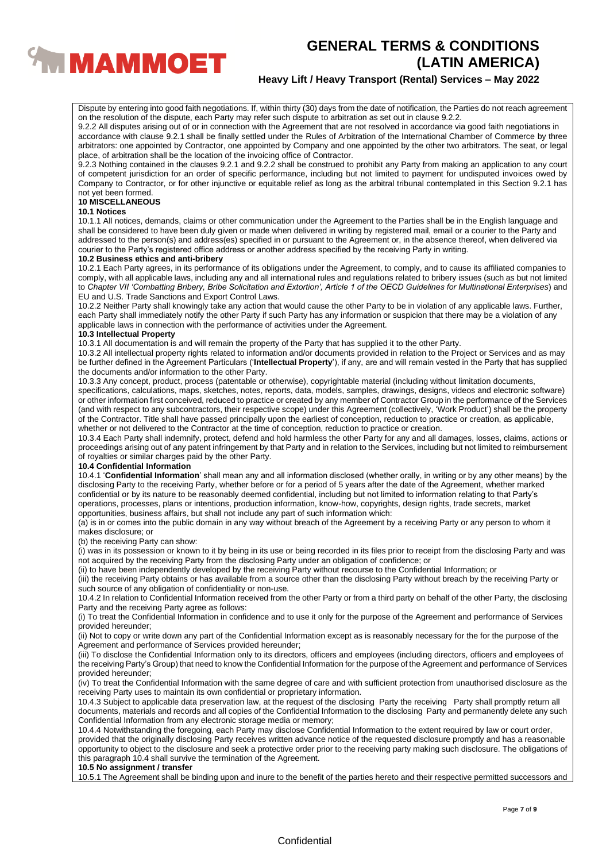

# **Heavy Lift / Heavy Transport (Rental) Services – May 2022**

Dispute by entering into good faith negotiations. If, within thirty (30) days from the date of notification, the Parties do not reach agreement on the resolution of the dispute, each Party may refer such dispute to arbitration as set out in clause 9.2.2.

9.2.2 All disputes arising out of or in connection with the Agreement that are not resolved in accordance via good faith negotiations in accordance with clause 9.2.1 shall be finally settled under the Rules of Arbitration of the International Chamber of Commerce by three arbitrators: one appointed by Contractor, one appointed by Company and one appointed by the other two arbitrators. The seat, or legal place, of arbitration shall be the location of the invoicing office of Contractor.

9.2.3 Nothing contained in the clauses 9.2.1 and 9.2.2 shall be construed to prohibit any Party from making an application to any court of competent jurisdiction for an order of specific performance, including but not limited to payment for undisputed invoices owed by Company to Contractor, or for other injunctive or equitable relief as long as the arbitral tribunal contemplated in this Section 9.2.1 has not yet been formed.

# **10 MISCELLANEOUS**

## **10.1 Notices**

10.1.1 All notices, demands, claims or other communication under the Agreement to the Parties shall be in the English language and shall be considered to have been duly given or made when delivered in writing by registered mail, email or a courier to the Party and addressed to the person(s) and address(es) specified in or pursuant to the Agreement or, in the absence thereof, when delivered via courier to the Party's registered office address or another address specified by the receiving Party in writing.

#### **10.2 Business ethics and anti-bribery**

10.2.1 Each Party agrees, in its performance of its obligations under the Agreement, to comply, and to cause its affiliated companies to comply, with all applicable laws, including any and all international rules and regulations related to bribery issues (such as but not limited to *Chapter VII 'Combatting Bribery, Bribe Solicitation and Extortion', Article 1 of the OECD Guidelines for Multinational Enterprises*) and EU and U.S. Trade Sanctions and Export Control Laws.

10.2.2 Neither Party shall knowingly take any action that would cause the other Party to be in violation of any applicable laws. Further, each Party shall immediately notify the other Party if such Party has any information or suspicion that there may be a violation of any applicable laws in connection with the performance of activities under the Agreement.

## **10.3 Intellectual Property**

10.3.1 All documentation is and will remain the property of the Party that has supplied it to the other Party.

10.3.2 All intellectual property rights related to information and/or documents provided in relation to the Project or Services and as may be further defined in the Agreement Particulars ('**Intellectual Property**'), if any, are and will remain vested in the Party that has supplied the documents and/or information to the other Party.

10.3.3 Any concept, product, process (patentable or otherwise), copyrightable material (including without limitation documents, specifications, calculations, maps, sketches, notes, reports, data, models, samples, drawings, designs, videos and electronic software) or other information first conceived, reduced to practice or created by any member of Contractor Group in the performance of the Services (and with respect to any subcontractors, their respective scope) under this Agreement (collectively, 'Work Product') shall be the property

of the Contractor. Title shall have passed principally upon the earliest of conception, reduction to practice or creation, as applicable, whether or not delivered to the Contractor at the time of conception, reduction to practice or creation.

10.3.4 Each Party shall indemnify, protect, defend and hold harmless the other Party for any and all damages, losses, claims, actions or proceedings arising out of any patent infringement by that Party and in relation to the Services, including but not limited to reimbursement of royalties or similar charges paid by the other Party.

## **10.4 Confidential Information**

10.4.1 '**Confidential Information**' shall mean any and all information disclosed (whether orally, in writing or by any other means) by the disclosing Party to the receiving Party, whether before or for a period of 5 years after the date of the Agreement, whether marked confidential or by its nature to be reasonably deemed confidential, including but not limited to information relating to that Party's operations, processes, plans or intentions, production information, know-how, copyrights, design rights, trade secrets, market opportunities, business affairs, but shall not include any part of such information which:

(a) is in or comes into the public domain in any way without breach of the Agreement by a receiving Party or any person to whom it makes disclosure; or

(b) the receiving Party can show:

(i) was in its possession or known to it by being in its use or being recorded in its files prior to receipt from the disclosing Party and was not acquired by the receiving Party from the disclosing Party under an obligation of confidence; or

(ii) to have been independently developed by the receiving Party without recourse to the Confidential Information; or

(iii) the receiving Party obtains or has available from a source other than the disclosing Party without breach by the receiving Party or such source of any obligation of confidentiality or non-use.

10.4.2 In relation to Confidential Information received from the other Party or from a third party on behalf of the other Party, the disclosing Party and the receiving Party agree as follows:

(i) To treat the Confidential Information in confidence and to use it only for the purpose of the Agreement and performance of Services provided hereunder;

(ii) Not to copy or write down any part of the Confidential Information except as is reasonably necessary for the for the purpose of the Agreement and performance of Services provided hereunder;

(iii) To disclose the Confidential Information only to its directors, officers and employees (including directors, officers and employees of the receiving Party's Group) that need to know the Confidential Information for the purpose of the Agreement and performance of Services provided hereunder;

(iv) To treat the Confidential Information with the same degree of care and with sufficient protection from unauthorised disclosure as the receiving Party uses to maintain its own confidential or proprietary information.

10.4.3 Subject to applicable data preservation law, at the request of the disclosing Party the receiving Party shall promptly return all documents, materials and records and all copies of the Confidential Information to the disclosing Party and permanently delete any such Confidential Information from any electronic storage media or memory;

10.4.4 Notwithstanding the foregoing, each Party may disclose Confidential Information to the extent required by law or court order, provided that the originally disclosing Party receives written advance notice of the requested disclosure promptly and has a reasonable opportunity to object to the disclosure and seek a protective order prior to the receiving party making such disclosure. The obligations of this paragraph 10.4 shall survive the termination of the Agreement.

# **10.5 No assignment / transfer**

10.5.1 The Agreement shall be binding upon and inure to the benefit of the parties hereto and their respective permitted successors and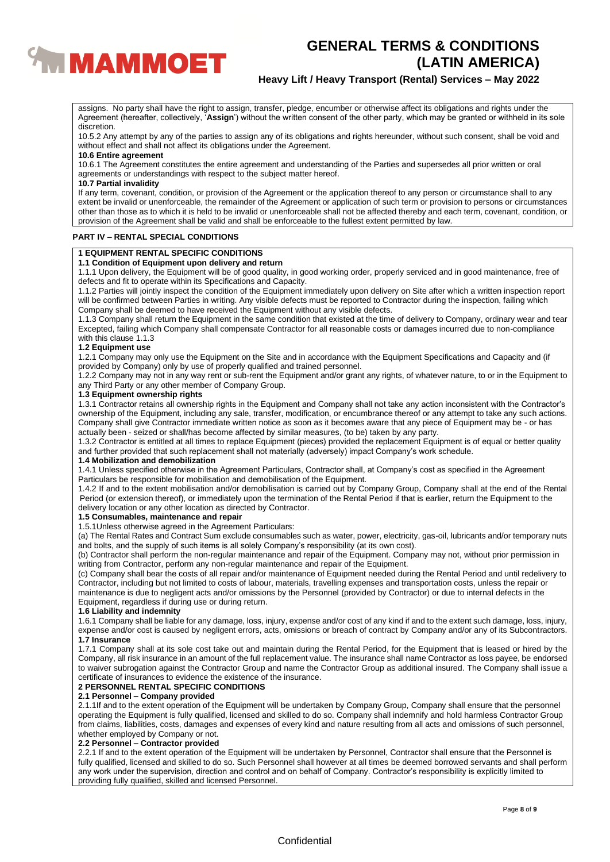

# **Heavy Lift / Heavy Transport (Rental) Services – May 2022**

assigns. No party shall have the right to assign, transfer, pledge, encumber or otherwise affect its obligations and rights under the Agreement (hereafter, collectively, '**Assign**') without the written consent of the other party, which may be granted or withheld in its sole discretion.

10.5.2 Any attempt by any of the parties to assign any of its obligations and rights hereunder, without such consent, shall be void and without effect and shall not affect its obligations under the Agreement.

## **10.6 Entire agreement**

10.6.1 The Agreement constitutes the entire agreement and understanding of the Parties and supersedes all prior written or oral agreements or understandings with respect to the subject matter hereof.

## **10.7 Partial invalidity**

If any term, covenant, condition, or provision of the Agreement or the application thereof to any person or circumstance shall to any extent be invalid or unenforceable, the remainder of the Agreement or application of such term or provision to persons or circumstances other than those as to which it is held to be invalid or unenforceable shall not be affected thereby and each term, covenant, condition, or provision of the Agreement shall be valid and shall be enforceable to the fullest extent permitted by law.

## **PART IV – RENTAL SPECIAL CONDITIONS**

## **1 EQUIPMENT RENTAL SPECIFIC CONDITIONS**

# **1.1 Condition of Equipment upon delivery and return**

1.1.1 Upon delivery, the Equipment will be of good quality, in good working order, properly serviced and in good maintenance, free of defects and fit to operate within its Specifications and Capacity.

1.1.2 Parties will jointly inspect the condition of the Equipment immediately upon delivery on Site after which a written inspection report will be confirmed between Parties in writing. Any visible defects must be reported to Contractor during the inspection, failing which Company shall be deemed to have received the Equipment without any visible defects.

1.1.3 Company shall return the Equipment in the same condition that existed at the time of delivery to Company, ordinary wear and tear Excepted, failing which Company shall compensate Contractor for all reasonable costs or damages incurred due to non-compliance with this clause 1.1.3

#### **1.2 Equipment use**

1.2.1 Company may only use the Equipment on the Site and in accordance with the Equipment Specifications and Capacity and (if provided by Company) only by use of properly qualified and trained personnel.

1.2.2 Company may not in any way rent or sub-rent the Equipment and/or grant any rights, of whatever nature, to or in the Equipment to any Third Party or any other member of Company Group.

# **1.3 Equipment ownership rights**

1.3.1 Contractor retains all ownership rights in the Equipment and Company shall not take any action inconsistent with the Contractor's ownership of the Equipment, including any sale, transfer, modification, or encumbrance thereof or any attempt to take any such actions. Company shall give Contractor immediate written notice as soon as it becomes aware that any piece of Equipment may be - or has actually been - seized or shall/has become affected by similar measures, (to be) taken by any party.

1.3.2 Contractor is entitled at all times to replace Equipment (pieces) provided the replacement Equipment is of equal or better quality and further provided that such replacement shall not materially (adversely) impact Company's work schedule.

## **1.4 Mobilization and demobilization**

1.4.1 Unless specified otherwise in the Agreement Particulars, Contractor shall, at Company's cost as specified in the Agreement Particulars be responsible for mobilisation and demobilisation of the Equipment.

1.4.2 If and to the extent mobilisation and/or demobilisation is carried out by Company Group, Company shall at the end of the Rental Period (or extension thereof), or immediately upon the termination of the Rental Period if that is earlier, return the Equipment to the delivery location or any other location as directed by Contractor.

## **1.5 Consumables, maintenance and repair**

1.5.1Unless otherwise agreed in the Agreement Particulars:

(a) The Rental Rates and Contract Sum exclude consumables such as water, power, electricity, gas-oil, lubricants and/or temporary nuts and bolts, and the supply of such items is all solely Company's responsibility (at its own cost).

(b) Contractor shall perform the non-regular maintenance and repair of the Equipment. Company may not, without prior permission in writing from Contractor, perform any non-regular maintenance and repair of the Equipment.

(c) Company shall bear the costs of all repair and/or maintenance of Equipment needed during the Rental Period and until redelivery to Contractor, including but not limited to costs of labour, materials, travelling expenses and transportation costs, unless the repair or maintenance is due to negligent acts and/or omissions by the Personnel (provided by Contractor) or due to internal defects in the Equipment, regardless if during use or during return.

## **1.6 Liability and indemnity**

1.6.1 Company shall be liable for any damage, loss, injury, expense and/or cost of any kind if and to the extent such damage, loss, injury, expense and/or cost is caused by negligent errors, acts, omissions or breach of contract by Company and/or any of its Subcontractors. **1.7 Insurance**

1.7.1 Company shall at its sole cost take out and maintain during the Rental Period, for the Equipment that is leased or hired by the Company, all risk insurance in an amount of the full replacement value. The insurance shall name Contractor as loss payee, be endorsed to waiver subrogation against the Contractor Group and name the Contractor Group as additional insured. The Company shall issue a certificate of insurances to evidence the existence of the insurance.

## **2 PERSONNEL RENTAL SPECIFIC CONDITIONS**

## **2.1 Personnel – Company provided**

2.1.1If and to the extent operation of the Equipment will be undertaken by Company Group, Company shall ensure that the personnel operating the Equipment is fully qualified, licensed and skilled to do so. Company shall indemnify and hold harmless Contractor Group from claims, liabilities, costs, damages and expenses of every kind and nature resulting from all acts and omissions of such personnel, whether employed by Company or not.

# **2.2 Personnel – Contractor provided**

2.2.1 If and to the extent operation of the Equipment will be undertaken by Personnel, Contractor shall ensure that the Personnel is fully qualified, licensed and skilled to do so. Such Personnel shall however at all times be deemed borrowed servants and shall perform any work under the supervision, direction and control and on behalf of Company. Contractor's responsibility is explicitly limited to providing fully qualified, skilled and licensed Personnel.